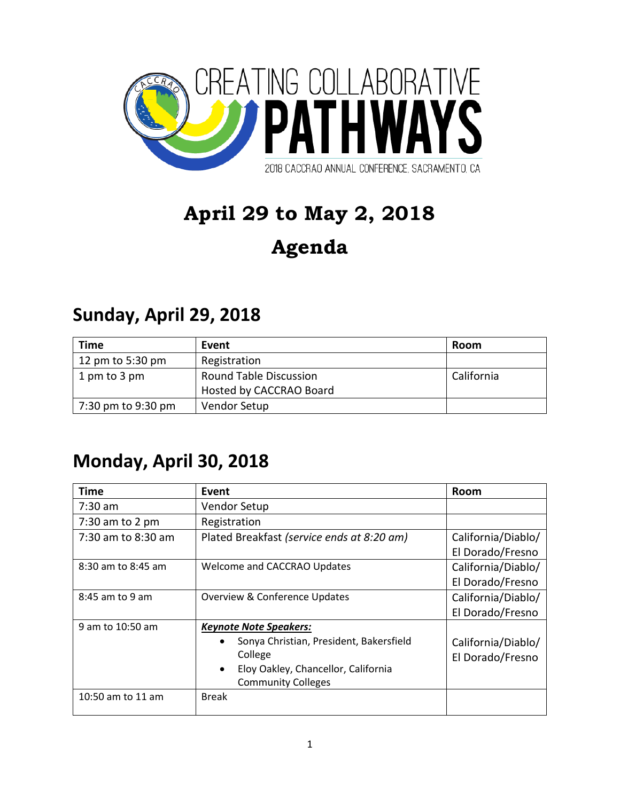

# **April 29 to May 2, 2018**

# **Agenda**

#### **Sunday, April 29, 2018**

| Time               | Event                         | Room       |
|--------------------|-------------------------------|------------|
| 12 pm to 5:30 pm   | Registration                  |            |
| 1 pm to 3 pm       | <b>Round Table Discussion</b> | California |
|                    | Hosted by CACCRAO Board       |            |
| 7:30 pm to 9:30 pm | Vendor Setup                  |            |

#### **Monday, April 30, 2018**

| Time               | Event                                                | Room               |
|--------------------|------------------------------------------------------|--------------------|
| $7:30$ am          | Vendor Setup                                         |                    |
| $7:30$ am to 2 pm  | Registration                                         |                    |
| 7:30 am to 8:30 am | Plated Breakfast (service ends at 8:20 am)           | California/Diablo/ |
|                    |                                                      | El Dorado/Fresno   |
| 8:30 am to 8:45 am | Welcome and CACCRAO Updates                          | California/Diablo/ |
|                    |                                                      | El Dorado/Fresno   |
| 8:45 am to 9 am    | <b>Overview &amp; Conference Updates</b>             | California/Diablo/ |
|                    |                                                      | El Dorado/Fresno   |
| 9 am to 10:50 am   | <b>Keynote Note Speakers:</b>                        |                    |
|                    | Sonya Christian, President, Bakersfield<br>$\bullet$ | California/Diablo/ |
|                    | College                                              | El Dorado/Fresno   |
|                    | Eloy Oakley, Chancellor, California<br>$\bullet$     |                    |
|                    | <b>Community Colleges</b>                            |                    |
| 10:50 am to 11 am  | <b>Break</b>                                         |                    |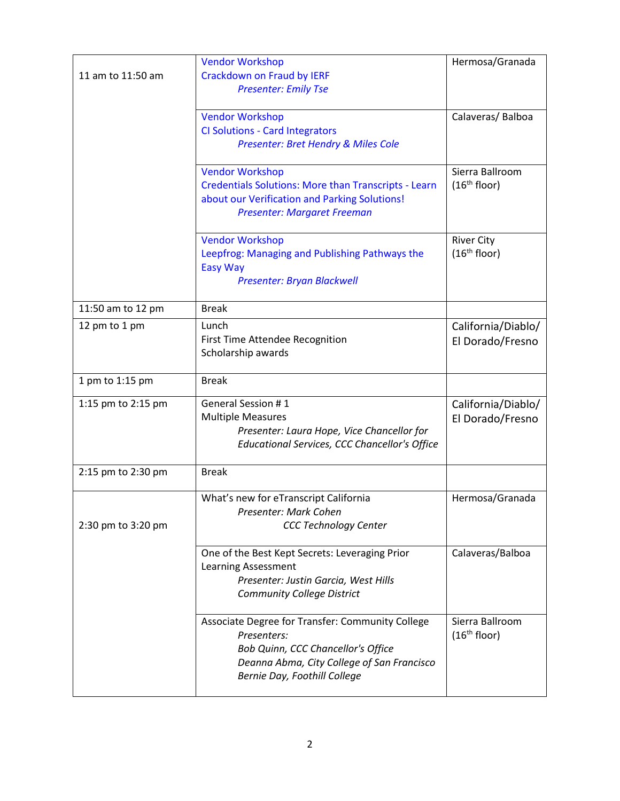| 11 am to 11:50 am  | <b>Vendor Workshop</b><br><b>Crackdown on Fraud by IERF</b><br><b>Presenter: Emily Tse</b>                                                                                          | Hermosa/Granada                               |
|--------------------|-------------------------------------------------------------------------------------------------------------------------------------------------------------------------------------|-----------------------------------------------|
|                    | <b>Vendor Workshop</b><br><b>CI Solutions - Card Integrators</b><br>Presenter: Bret Hendry & Miles Cole                                                                             | Calaveras/Balboa                              |
|                    | <b>Vendor Workshop</b><br>Credentials Solutions: More than Transcripts - Learn<br>about our Verification and Parking Solutions!<br><b>Presenter: Margaret Freeman</b>               | Sierra Ballroom<br>(16 <sup>th</sup> floor)   |
|                    | <b>Vendor Workshop</b><br>Leepfrog: Managing and Publishing Pathways the<br><b>Easy Way</b><br>Presenter: Bryan Blackwell                                                           | <b>River City</b><br>(16 <sup>th</sup> floor) |
| 11:50 am to 12 pm  | <b>Break</b>                                                                                                                                                                        |                                               |
| 12 pm to 1 pm      | Lunch<br>First Time Attendee Recognition<br>Scholarship awards                                                                                                                      | California/Diablo/<br>El Dorado/Fresno        |
| 1 pm to 1:15 pm    | <b>Break</b>                                                                                                                                                                        |                                               |
| 1:15 pm to 2:15 pm | General Session #1<br><b>Multiple Measures</b><br>Presenter: Laura Hope, Vice Chancellor for<br>Educational Services, CCC Chancellor's Office                                       | California/Diablo/<br>El Dorado/Fresno        |
| 2:15 pm to 2:30 pm | <b>Break</b>                                                                                                                                                                        |                                               |
| 2:30 pm to 3:20 pm | What's new for eTranscript California<br>Presenter: Mark Cohen<br><b>CCC Technology Center</b>                                                                                      | Hermosa/Granada                               |
|                    | One of the Best Kept Secrets: Leveraging Prior<br>Learning Assessment<br>Presenter: Justin Garcia, West Hills<br><b>Community College District</b>                                  | Calaveras/Balboa                              |
|                    | Associate Degree for Transfer: Community College<br>Presenters:<br>Bob Quinn, CCC Chancellor's Office<br>Deanna Abma, City College of San Francisco<br>Bernie Day, Foothill College | Sierra Ballroom<br>(16 <sup>th</sup> floor)   |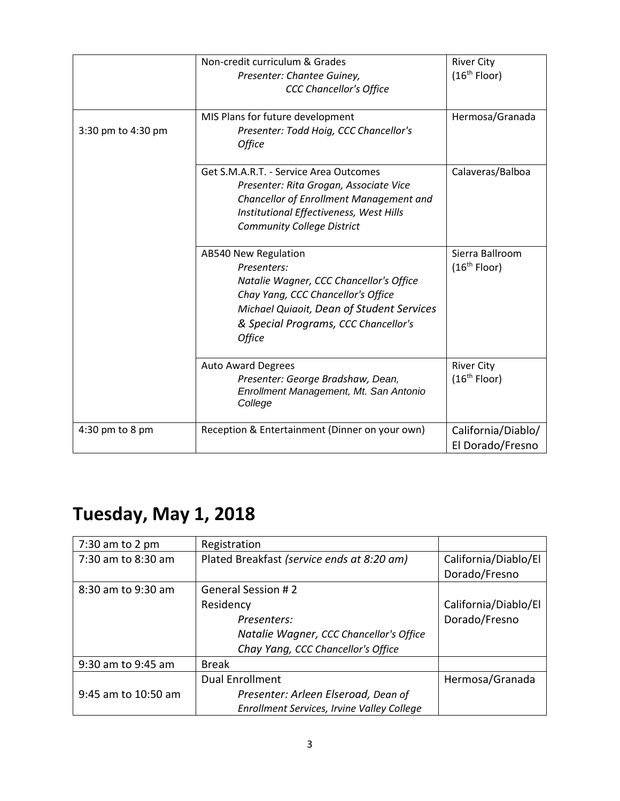|                    | Non-credit curriculum & Grades<br>Presenter: Chantee Guiney,<br><b>CCC Chancellor's Office</b>                                                                                                                             | <b>River City</b><br>(16 <sup>th</sup> Floor) |
|--------------------|----------------------------------------------------------------------------------------------------------------------------------------------------------------------------------------------------------------------------|-----------------------------------------------|
| 3:30 pm to 4:30 pm | MIS Plans for future development<br>Presenter: Todd Hoig, CCC Chancellor's<br><b>Office</b>                                                                                                                                | Hermosa/Granada                               |
|                    | Get S.M.A.R.T. - Service Area Outcomes<br>Presenter: Rita Grogan, Associate Vice<br>Chancellor of Enrollment Management and<br>Institutional Effectiveness, West Hills<br><b>Community College District</b>                | Calaveras/Balboa                              |
|                    | AB540 New Regulation<br>Presenters:<br>Natalie Wagner, CCC Chancellor's Office<br>Chay Yang, CCC Chancellor's Office<br>Michael Quiaoit, Dean of Student Services<br>& Special Programs, CCC Chancellor's<br><b>Office</b> | Sierra Ballroom<br>(16 <sup>th</sup> Floor)   |
|                    | <b>Auto Award Degrees</b><br>Presenter: George Bradshaw, Dean,<br>Enrollment Management, Mt. San Antonio<br>College                                                                                                        | <b>River City</b><br>(16 <sup>th</sup> Floor) |
| $4:30$ pm to 8 pm  | Reception & Entertainment (Dinner on your own)                                                                                                                                                                             | California/Diablo/<br>El Dorado/Fresno        |

## **Tuesday, May 1, 2018**

| $7:30$ am to 2 pm   | Registration                               |                      |
|---------------------|--------------------------------------------|----------------------|
| 7:30 am to 8:30 am  | Plated Breakfast (service ends at 8:20 am) | California/Diablo/El |
|                     |                                            | Dorado/Fresno        |
| 8:30 am to 9:30 am  | <b>General Session #2</b>                  |                      |
|                     | Residency                                  | California/Diablo/El |
|                     | Presenters:                                | Dorado/Fresno        |
|                     | Natalie Wagner, CCC Chancellor's Office    |                      |
|                     | Chay Yang, CCC Chancellor's Office         |                      |
| 9:30 am to 9:45 am  | <b>Break</b>                               |                      |
|                     | <b>Dual Enrollment</b>                     | Hermosa/Granada      |
| 9:45 am to 10:50 am | Presenter: Arleen Elseroad, Dean of        |                      |
|                     | Enrollment Services, Irvine Valley College |                      |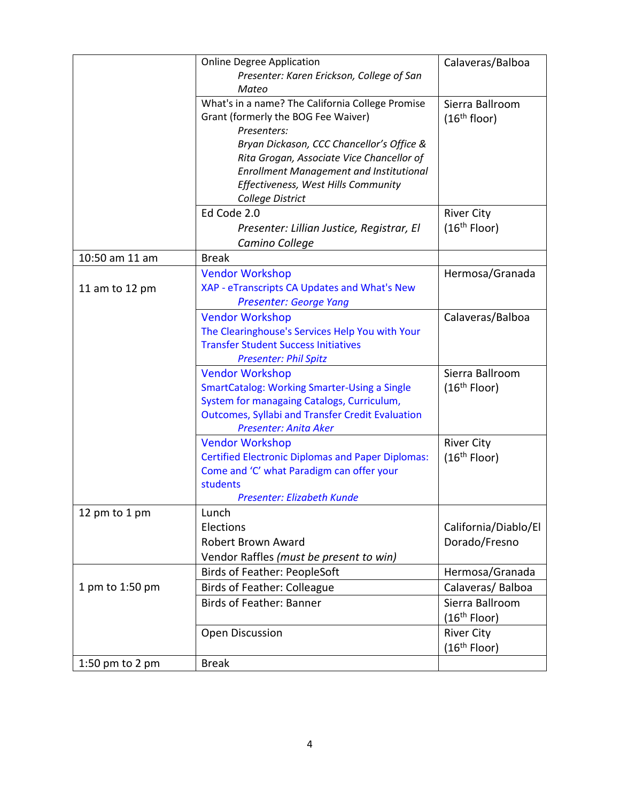|                 | <b>Online Degree Application</b><br>Presenter: Karen Erickson, College of San                                                                                                                       | Calaveras/Balboa                            |
|-----------------|-----------------------------------------------------------------------------------------------------------------------------------------------------------------------------------------------------|---------------------------------------------|
|                 | Mateo                                                                                                                                                                                               |                                             |
|                 | What's in a name? The California College Promise<br>Grant (formerly the BOG Fee Waiver)<br>Presenters:                                                                                              | Sierra Ballroom<br>(16 <sup>th</sup> floor) |
|                 | Bryan Dickason, CCC Chancellor's Office &<br>Rita Grogan, Associate Vice Chancellor of<br><b>Enrollment Management and Institutional</b><br>Effectiveness, West Hills Community<br>College District |                                             |
|                 | Ed Code 2.0                                                                                                                                                                                         | <b>River City</b>                           |
|                 | Presenter: Lillian Justice, Registrar, El<br>Camino College                                                                                                                                         | (16 <sup>th</sup> Floor)                    |
| 10:50 am 11 am  | <b>Break</b>                                                                                                                                                                                        |                                             |
|                 | <b>Vendor Workshop</b>                                                                                                                                                                              | Hermosa/Granada                             |
| 11 am to 12 pm  | XAP - eTranscripts CA Updates and What's New<br><b>Presenter: George Yang</b>                                                                                                                       |                                             |
|                 | <b>Vendor Workshop</b>                                                                                                                                                                              | Calaveras/Balboa                            |
|                 | The Clearinghouse's Services Help You with Your                                                                                                                                                     |                                             |
|                 | <b>Transfer Student Success Initiatives</b>                                                                                                                                                         |                                             |
|                 | <b>Presenter: Phil Spitz</b>                                                                                                                                                                        |                                             |
|                 | <b>Vendor Workshop</b>                                                                                                                                                                              | Sierra Ballroom                             |
|                 | <b>SmartCatalog: Working Smarter-Using a Single</b>                                                                                                                                                 | (16 <sup>th</sup> Floor)                    |
|                 | System for managaing Catalogs, Curriculum,                                                                                                                                                          |                                             |
|                 | <b>Outcomes, Syllabi and Transfer Credit Evaluation</b>                                                                                                                                             |                                             |
|                 | Presenter: Anita Aker                                                                                                                                                                               |                                             |
|                 | <b>Vendor Workshop</b>                                                                                                                                                                              | <b>River City</b>                           |
|                 | <b>Certified Electronic Diplomas and Paper Diplomas:</b><br>Come and 'C' what Paradigm can offer your                                                                                               | (16 <sup>th</sup> Floor)                    |
|                 | students                                                                                                                                                                                            |                                             |
|                 | Presenter: Elizabeth Kunde                                                                                                                                                                          |                                             |
| 12 pm to 1 pm   | Lunch                                                                                                                                                                                               |                                             |
|                 | Elections                                                                                                                                                                                           | California/Diablo/El                        |
|                 | <b>Robert Brown Award</b>                                                                                                                                                                           | Dorado/Fresno                               |
|                 | Vendor Raffles (must be present to win)                                                                                                                                                             |                                             |
|                 | Birds of Feather: PeopleSoft                                                                                                                                                                        | Hermosa/Granada                             |
| 1 pm to 1:50 pm | <b>Birds of Feather: Colleague</b>                                                                                                                                                                  | Calaveras/Balboa                            |
|                 | Birds of Feather: Banner                                                                                                                                                                            | Sierra Ballroom                             |
|                 |                                                                                                                                                                                                     | (16 <sup>th</sup> Floor)                    |
|                 | <b>Open Discussion</b>                                                                                                                                                                              | <b>River City</b>                           |
|                 |                                                                                                                                                                                                     | (16 <sup>th</sup> Floor)                    |
| 1:50 pm to 2 pm | <b>Break</b>                                                                                                                                                                                        |                                             |